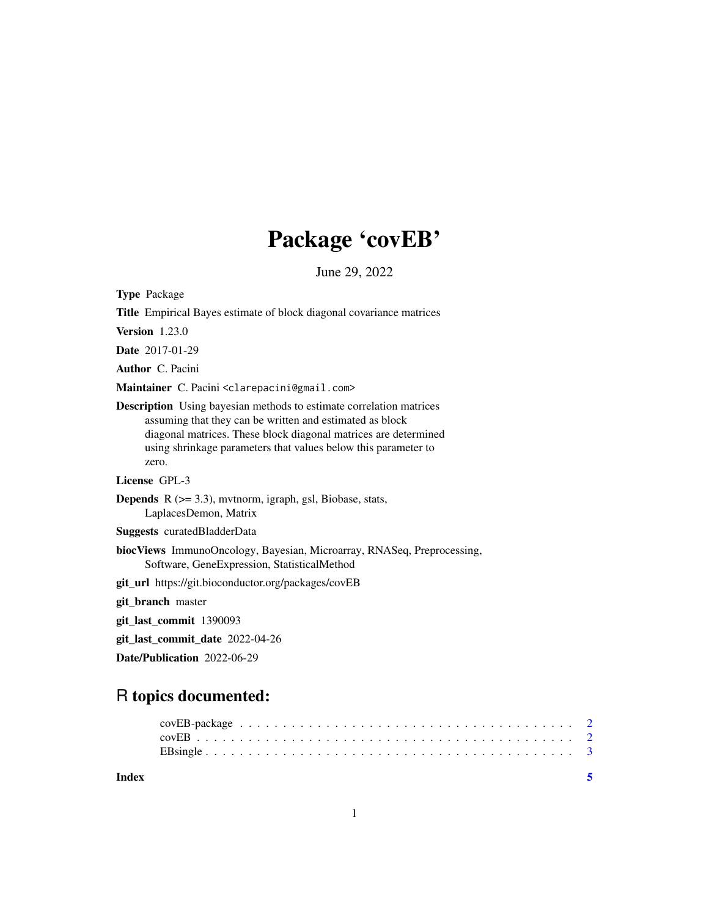# Package 'covEB'

June 29, 2022

Type Package

| <b>Title</b> Empirical Bayes estimate of block diagonal covariance matrices                                                                                                                                                                                                          |
|--------------------------------------------------------------------------------------------------------------------------------------------------------------------------------------------------------------------------------------------------------------------------------------|
| <b>Version</b> 1.23.0                                                                                                                                                                                                                                                                |
| <b>Date</b> 2017-01-29                                                                                                                                                                                                                                                               |
| <b>Author</b> C. Pacini                                                                                                                                                                                                                                                              |
| Maintainer C. Pacini <clarepacini@gmail.com></clarepacini@gmail.com>                                                                                                                                                                                                                 |
| <b>Description</b> Using bayesian methods to estimate correlation matrices<br>assuming that they can be written and estimated as block<br>diagonal matrices. These block diagonal matrices are determined<br>using shrinkage parameters that values below this parameter to<br>zero. |
| License GPL-3                                                                                                                                                                                                                                                                        |
| <b>Depends</b> $R$ ( $>=$ 3.3), mythorm, igraph, gsl, Biobase, stats,<br>LaplacesDemon, Matrix                                                                                                                                                                                       |
| Suggests curatedBladderData                                                                                                                                                                                                                                                          |
| biocViews ImmunoOncology, Bayesian, Microarray, RNASeq, Preprocessing,<br>Software, GeneExpression, StatisticalMethod                                                                                                                                                                |
| git_url https://git.bioconductor.org/packages/covEB                                                                                                                                                                                                                                  |
| git_branch master                                                                                                                                                                                                                                                                    |
| git_last_commit 1390093                                                                                                                                                                                                                                                              |
| git_last_commit_date 2022-04-26                                                                                                                                                                                                                                                      |
| Date/Publication 2022-06-29                                                                                                                                                                                                                                                          |

# R topics documented:

| Index |  |  |  |  |  |  |  |  |  |  |  |  |  |  |  |  |
|-------|--|--|--|--|--|--|--|--|--|--|--|--|--|--|--|--|
|       |  |  |  |  |  |  |  |  |  |  |  |  |  |  |  |  |
|       |  |  |  |  |  |  |  |  |  |  |  |  |  |  |  |  |
|       |  |  |  |  |  |  |  |  |  |  |  |  |  |  |  |  |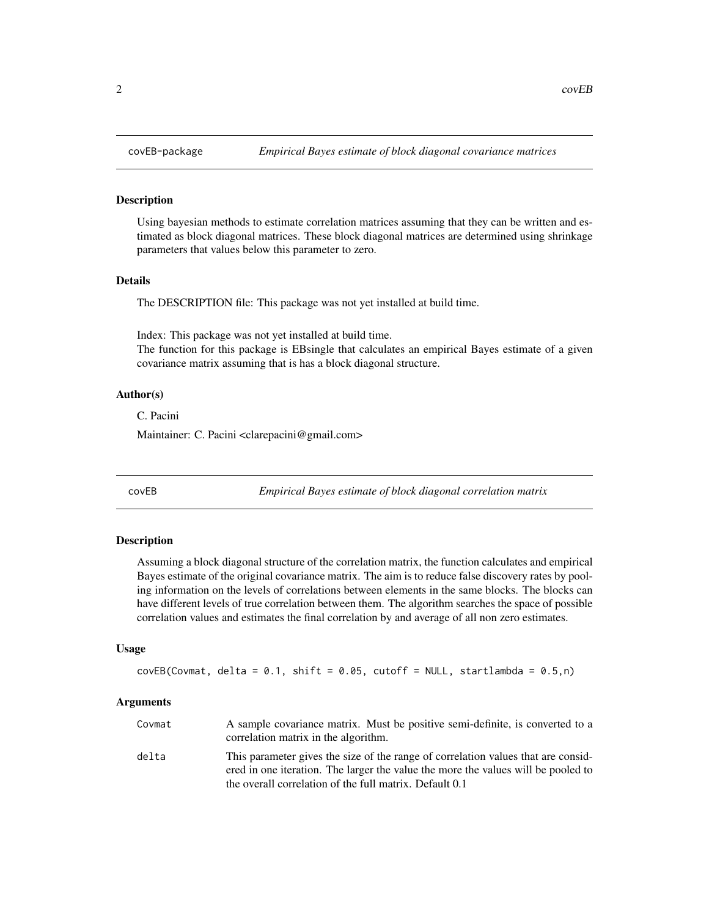#### Description

Using bayesian methods to estimate correlation matrices assuming that they can be written and estimated as block diagonal matrices. These block diagonal matrices are determined using shrinkage parameters that values below this parameter to zero.

# Details

The DESCRIPTION file: This package was not yet installed at build time.

Index: This package was not yet installed at build time. The function for this package is EBsingle that calculates an empirical Bayes estimate of a given covariance matrix assuming that is has a block diagonal structure.

#### Author(s)

C. Pacini

Maintainer: C. Pacini <clarepacini@gmail.com>

covEB *Empirical Bayes estimate of block diagonal correlation matrix*

#### Description

Assuming a block diagonal structure of the correlation matrix, the function calculates and empirical Bayes estimate of the original covariance matrix. The aim is to reduce false discovery rates by pooling information on the levels of correlations between elements in the same blocks. The blocks can have different levels of true correlation between them. The algorithm searches the space of possible correlation values and estimates the final correlation by and average of all non zero estimates.

# Usage

```
covEB(Covmat, delta = 0.1, shift = 0.05, cutoff = NULL, stratlambda = 0.5, n)
```
#### Arguments

| Covmat | A sample covariance matrix. Must be positive semi-definite, is converted to a<br>correlation matrix in the algorithm.                                                  |
|--------|------------------------------------------------------------------------------------------------------------------------------------------------------------------------|
| delta  | This parameter gives the size of the range of correlation values that are consid-<br>ered in one iteration. The larger the value the more the values will be pooled to |
|        | the overall correlation of the full matrix. Default 0.1                                                                                                                |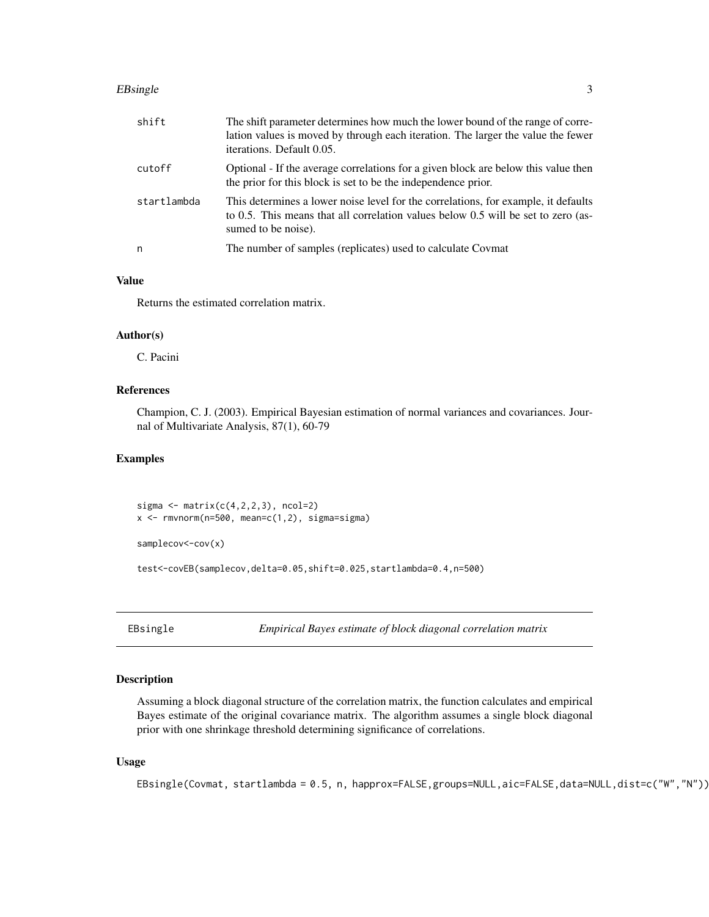#### <span id="page-2-0"></span>EBsingle 3

| shift       | The shift parameter determines how much the lower bound of the range of corre-<br>lation values is moved by through each iteration. The larger the value the fewer<br>iterations. Default 0.05. |
|-------------|-------------------------------------------------------------------------------------------------------------------------------------------------------------------------------------------------|
| cutoff      | Optional - If the average correlations for a given block are below this value then<br>the prior for this block is set to be the independence prior.                                             |
| startlambda | This determines a lower noise level for the correlations, for example, it defaults<br>to 0.5. This means that all correlation values below 0.5 will be set to zero (as-<br>sumed to be noise).  |
| n           | The number of samples (replicates) used to calculate Covmat                                                                                                                                     |

# Value

Returns the estimated correlation matrix.

### Author(s)

C. Pacini

# References

Champion, C. J. (2003). Empirical Bayesian estimation of normal variances and covariances. Journal of Multivariate Analysis, 87(1), 60-79

# Examples

sigma  $\leq$  matrix( $c(4,2,2,3)$ , ncol=2)  $x \le -r$ mvnorm(n=500, mean=c(1,2), sigma=sigma)

```
samplecov<-cov(x)
```
test<-covEB(samplecov,delta=0.05,shift=0.025,startlambda=0.4,n=500)

EBsingle *Empirical Bayes estimate of block diagonal correlation matrix*

#### Description

Assuming a block diagonal structure of the correlation matrix, the function calculates and empirical Bayes estimate of the original covariance matrix. The algorithm assumes a single block diagonal prior with one shrinkage threshold determining significance of correlations.

### Usage

```
EBsingle(Covmat, startlambda = 0.5, n, happrox=FALSE,groups=NULL,aic=FALSE,data=NULL,dist=c("W","N"))
```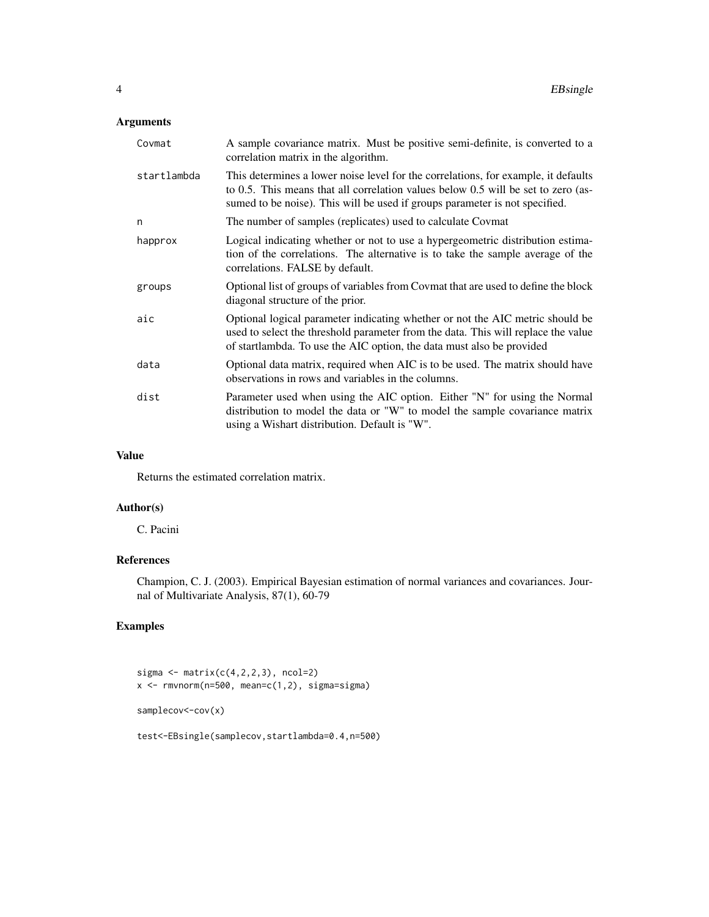# Arguments

| Covmat      | A sample covariance matrix. Must be positive semi-definite, is converted to a<br>correlation matrix in the algorithm.                                                                                                                                  |
|-------------|--------------------------------------------------------------------------------------------------------------------------------------------------------------------------------------------------------------------------------------------------------|
| startlambda | This determines a lower noise level for the correlations, for example, it defaults<br>to 0.5. This means that all correlation values below 0.5 will be set to zero (as-<br>sumed to be noise). This will be used if groups parameter is not specified. |
| n           | The number of samples (replicates) used to calculate Covmat                                                                                                                                                                                            |
| happrox     | Logical indicating whether or not to use a hypergeometric distribution estima-<br>tion of the correlations. The alternative is to take the sample average of the<br>correlations. FALSE by default.                                                    |
| groups      | Optional list of groups of variables from Covmat that are used to define the block<br>diagonal structure of the prior.                                                                                                                                 |
| aic         | Optional logical parameter indicating whether or not the AIC metric should be<br>used to select the threshold parameter from the data. This will replace the value<br>of startlambda. To use the AIC option, the data must also be provided            |
| data        | Optional data matrix, required when AIC is to be used. The matrix should have<br>observations in rows and variables in the columns.                                                                                                                    |
| dist        | Parameter used when using the AIC option. Either "N" for using the Normal<br>distribution to model the data or "W" to model the sample covariance matrix<br>using a Wishart distribution. Default is "W".                                              |

### Value

Returns the estimated correlation matrix.

# Author(s)

C. Pacini

# References

Champion, C. J. (2003). Empirical Bayesian estimation of normal variances and covariances. Journal of Multivariate Analysis, 87(1), 60-79

# Examples

```
sigma \leq matrix(c(4,2,2,3), ncol=2)
x \leq -rmvnorm(n=500, mean=c(1,2), sigma=sigma)
samplecov<-cov(x)
test<-EBsingle(samplecov,startlambda=0.4,n=500)
```